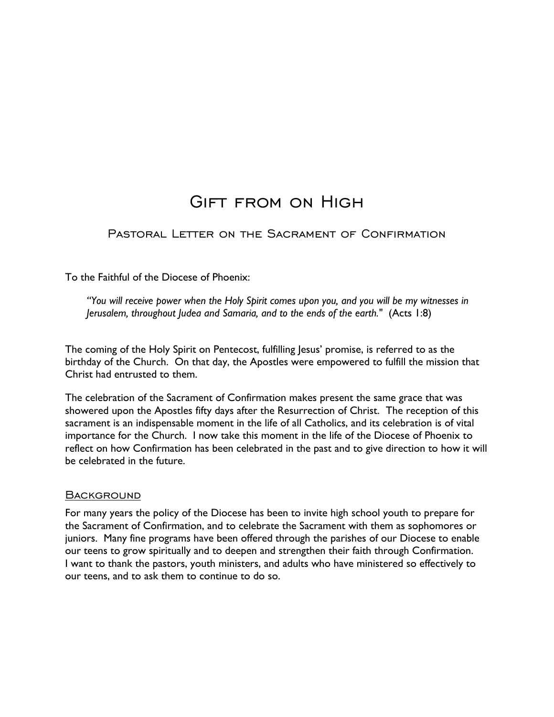# Gift from on High

Pastoral Letter on the Sacrament of Confirmation

To the Faithful of the Diocese of Phoenix:

*"You will receive power when the Holy Spirit comes upon you, and you will be my witnesses in Jerusalem, throughout Judea and Samaria, and to the ends of the earth."* (Acts 1:8)

The coming of the Holy Spirit on Pentecost, fulfilling Jesus' promise, is referred to as the birthday of the Church. On that day, the Apostles were empowered to fulfill the mission that Christ had entrusted to them.

The celebration of the Sacrament of Confirmation makes present the same grace that was showered upon the Apostles fifty days after the Resurrection of Christ. The reception of this sacrament is an indispensable moment in the life of all Catholics, and its celebration is of vital importance for the Church. I now take this moment in the life of the Diocese of Phoenix to reflect on how Confirmation has been celebrated in the past and to give direction to how it will be celebrated in the future.

#### **BACKGROUND**

For many years the policy of the Diocese has been to invite high school youth to prepare for the Sacrament of Confirmation, and to celebrate the Sacrament with them as sophomores or juniors. Many fine programs have been offered through the parishes of our Diocese to enable our teens to grow spiritually and to deepen and strengthen their faith through Confirmation. I want to thank the pastors, youth ministers, and adults who have ministered so effectively to our teens, and to ask them to continue to do so.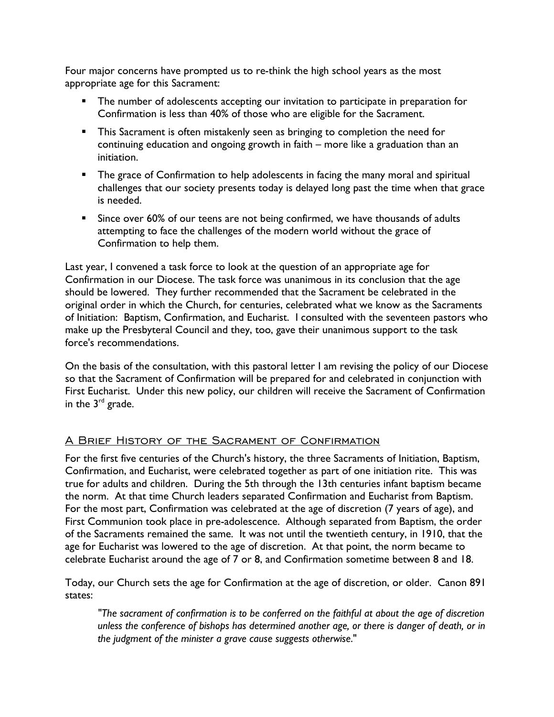Four major concerns have prompted us to re-think the high school years as the most appropriate age for this Sacrament:

- The number of adolescents accepting our invitation to participate in preparation for Confirmation is less than 40% of those who are eligible for the Sacrament.
- **This Sacrament is often mistakenly seen as bringing to completion the need for** continuing education and ongoing growth in faith – more like a graduation than an initiation.
- **The grace of Confirmation to help adolescents in facing the many moral and spiritual** challenges that our society presents today is delayed long past the time when that grace is needed.
- **Since over 60% of our teens are not being confirmed, we have thousands of adults** attempting to face the challenges of the modern world without the grace of Confirmation to help them.

Last year, I convened a task force to look at the question of an appropriate age for Confirmation in our Diocese. The task force was unanimous in its conclusion that the age should be lowered. They further recommended that the Sacrament be celebrated in the original order in which the Church, for centuries, celebrated what we know as the Sacraments of Initiation: Baptism, Confirmation, and Eucharist. I consulted with the seventeen pastors who make up the Presbyteral Council and they, too, gave their unanimous support to the task force's recommendations.

On the basis of the consultation, with this pastoral letter I am revising the policy of our Diocese so that the Sacrament of Confirmation will be prepared for and celebrated in conjunction with First Eucharist. Under this new policy, our children will receive the Sacrament of Confirmation in the  $3<sup>rd</sup>$  grade.

## A Brief History of the Sacrament of Confirmation

For the first five centuries of the Church's history, the three Sacraments of Initiation, Baptism, Confirmation, and Eucharist, were celebrated together as part of one initiation rite. This was true for adults and children. During the 5th through the 13th centuries infant baptism became the norm. At that time Church leaders separated Confirmation and Eucharist from Baptism. For the most part, Confirmation was celebrated at the age of discretion (7 years of age), and First Communion took place in pre-adolescence. Although separated from Baptism, the order of the Sacraments remained the same. It was not until the twentieth century, in 1910, that the age for Eucharist was lowered to the age of discretion. At that point, the norm became to celebrate Eucharist around the age of 7 or 8, and Confirmation sometime between 8 and 18.

Today, our Church sets the age for Confirmation at the age of discretion, or older. Canon 891 states:

*"The sacrament of confirmation is to be conferred on the faithful at about the age of discretion unless the conference of bishops has determined another age, or there is danger of death, or in the judgment of the minister a grave cause suggests otherwise*."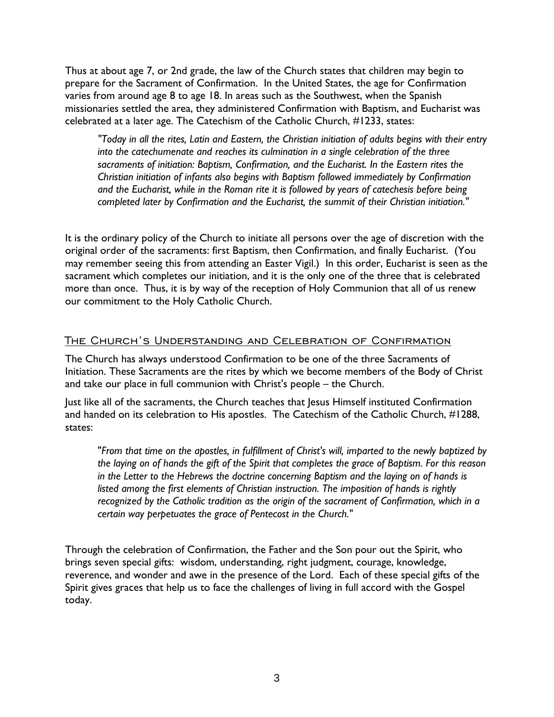Thus at about age 7, or 2nd grade, the law of the Church states that children may begin to prepare for the Sacrament of Confirmation. In the United States, the age for Confirmation varies from around age 8 to age 18. In areas such as the Southwest, when the Spanish missionaries settled the area, they administered Confirmation with Baptism, and Eucharist was celebrated at a later age. The Catechism of the Catholic Church, #1233, states:

*"Today in all the rites, Latin and Eastern, the Christian initiation of adults begins with their entry into the catechumenate and reaches its culmination in a single celebration of the three sacraments of initiation: Baptism, Confirmation, and the Eucharist. In the Eastern rites the Christian initiation of infants also begins with Baptism followed immediately by Confirmation and the Eucharist, while in the Roman rite it is followed by years of catechesis before being completed later by Confirmation and the Eucharist, the summit of their Christian initiation."* 

It is the ordinary policy of the Church to initiate all persons over the age of discretion with the original order of the sacraments: first Baptism, then Confirmation, and finally Eucharist. (You may remember seeing this from attending an Easter Vigil.) In this order, Eucharist is seen as the sacrament which completes our initiation, and it is the only one of the three that is celebrated more than once. Thus, it is by way of the reception of Holy Communion that all of us renew our commitment to the Holy Catholic Church.

#### The Church's Understanding and Celebration of Confirmation

The Church has always understood Confirmation to be one of the three Sacraments of Initiation. These Sacraments are the rites by which we become members of the Body of Christ and take our place in full communion with Christ's people – the Church.

Just like all of the sacraments, the Church teaches that Jesus Himself instituted Confirmation and handed on its celebration to His apostles. The Catechism of the Catholic Church, #1288, states:

"*From that time on the apostles, in fulfillment of Christ's will, imparted to the newly baptized by the laying on of hands the gift of the Spirit that completes the grace of Baptism. For this reason in the Letter to the Hebrews the doctrine concerning Baptism and the laying on of hands is listed among the first elements of Christian instruction. The imposition of hands is rightly recognized by the Catholic tradition as the origin of the sacrament of Confirmation, which in a certain way perpetuates the grace of Pentecost in the Church."* 

Through the celebration of Confirmation, the Father and the Son pour out the Spirit, who brings seven special gifts: wisdom, understanding, right judgment, courage, knowledge, reverence, and wonder and awe in the presence of the Lord. Each of these special gifts of the Spirit gives graces that help us to face the challenges of living in full accord with the Gospel today.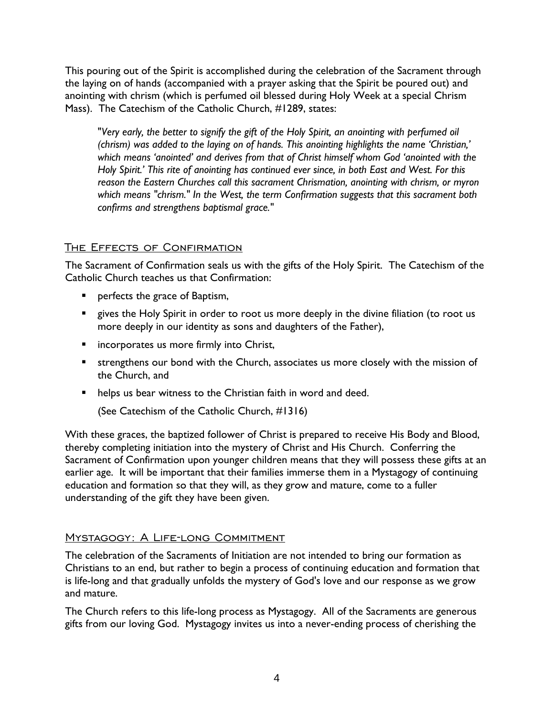This pouring out of the Spirit is accomplished during the celebration of the Sacrament through the laying on of hands (accompanied with a prayer asking that the Spirit be poured out) and anointing with chrism (which is perfumed oil blessed during Holy Week at a special Chrism Mass). The Catechism of the Catholic Church, #1289, states:

"*Very early, the better to signify the gift of the Holy Spirit, an anointing with perfumed oil (chrism) was added to the laying on of hands. This anointing highlights the name 'Christian,' which means 'anointed' and derives from that of Christ himself whom God 'anointed with the Holy Spirit.' This rite of anointing has continued ever since, in both East and West. For this reason the Eastern Churches call this sacrament Chrismation, anointing with chrism, or myron which means "chrism." In the West, the term Confirmation suggests that this sacrament both confirms and strengthens baptismal grace."*

## The Effects of Confirmation

The Sacrament of Confirmation seals us with the gifts of the Holy Spirit. The Catechism of the Catholic Church teaches us that Confirmation:

- **PEDEFECTS** the grace of Baptism,
- **EX Proper than Holy Spirit in order to root us more deeply in the divine filiation (to root us** more deeply in our identity as sons and daughters of the Father),
- **EXEDENT INCORPORATES US MOTE firmly into Christ,**
- **EX IS in the Strengthens our bond with the Church, associates us more closely with the mission of** the Church, and
- **helps us bear witness to the Christian faith in word and deed.**

(See Catechism of the Catholic Church, #1316)

With these graces, the baptized follower of Christ is prepared to receive His Body and Blood, thereby completing initiation into the mystery of Christ and His Church. Conferring the Sacrament of Confirmation upon younger children means that they will possess these gifts at an earlier age. It will be important that their families immerse them in a Mystagogy of continuing education and formation so that they will, as they grow and mature, come to a fuller understanding of the gift they have been given.

### Mystagogy: A Life-long Commitment

The celebration of the Sacraments of Initiation are not intended to bring our formation as Christians to an end, but rather to begin a process of continuing education and formation that is life-long and that gradually unfolds the mystery of God's love and our response as we grow and mature.

The Church refers to this life-long process as Mystagogy. All of the Sacraments are generous gifts from our loving God. Mystagogy invites us into a never-ending process of cherishing the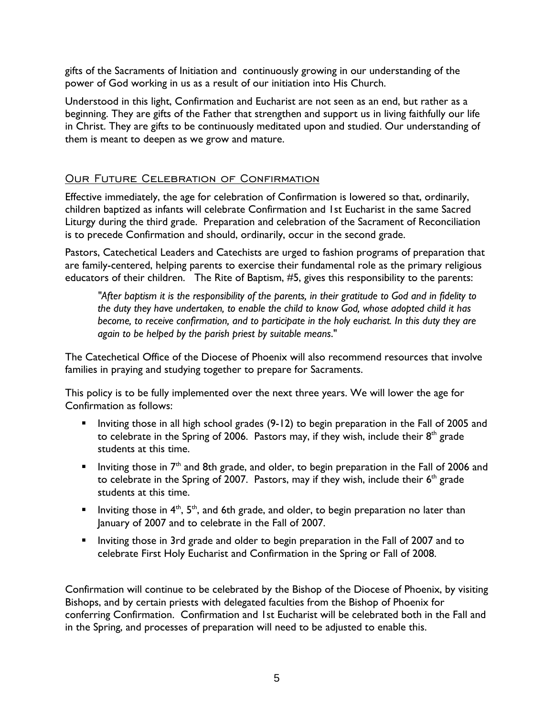gifts of the Sacraments of Initiation and continuously growing in our understanding of the power of God working in us as a result of our initiation into His Church.

Understood in this light, Confirmation and Eucharist are not seen as an end, but rather as a beginning. They are gifts of the Father that strengthen and support us in living faithfully our life in Christ. They are gifts to be continuously meditated upon and studied. Our understanding of them is meant to deepen as we grow and mature.

## OUR FUTURE CELEBRATION OF CONFIRMATION

Effective immediately, the age for celebration of Confirmation is lowered so that, ordinarily, children baptized as infants will celebrate Confirmation and 1st Eucharist in the same Sacred Liturgy during the third grade. Preparation and celebration of the Sacrament of Reconciliation is to precede Confirmation and should, ordinarily, occur in the second grade.

Pastors, Catechetical Leaders and Catechists are urged to fashion programs of preparation that are family-centered, helping parents to exercise their fundamental role as the primary religious educators of their children. The Rite of Baptism, #5, gives this responsibility to the parents:

*"After baptism it is the responsibility of the parents, in their gratitude to God and in fidelity to the duty they have undertaken, to enable the child to know God, whose adopted child it has become, to receive confirmation, and to participate in the holy eucharist. In this duty they are again to be helped by the parish priest by suitable means*."

The Catechetical Office of the Diocese of Phoenix will also recommend resources that involve families in praying and studying together to prepare for Sacraments.

This policy is to be fully implemented over the next three years. We will lower the age for Confirmation as follows:

- **Inviting those in all high school grades (9-12) to begin preparation in the Fall of 2005 and** to celebrate in the Spring of 2006. Pastors may, if they wish, include their  $8<sup>th</sup>$  grade students at this time.
- Inviting those in  $7<sup>th</sup>$  and 8th grade, and older, to begin preparation in the Fall of 2006 and to celebrate in the Spring of 2007. Pastors, may if they wish, include their  $6<sup>th</sup>$  grade students at this time.
- Inviting those in  $4<sup>th</sup>$ ,  $5<sup>th</sup>$ , and 6th grade, and older, to begin preparation no later than January of 2007 and to celebrate in the Fall of 2007.
- **Inviting those in 3rd grade and older to begin preparation in the Fall of 2007 and to** celebrate First Holy Eucharist and Confirmation in the Spring or Fall of 2008.

Confirmation will continue to be celebrated by the Bishop of the Diocese of Phoenix, by visiting Bishops, and by certain priests with delegated faculties from the Bishop of Phoenix for conferring Confirmation. Confirmation and 1st Eucharist will be celebrated both in the Fall and in the Spring, and processes of preparation will need to be adjusted to enable this.